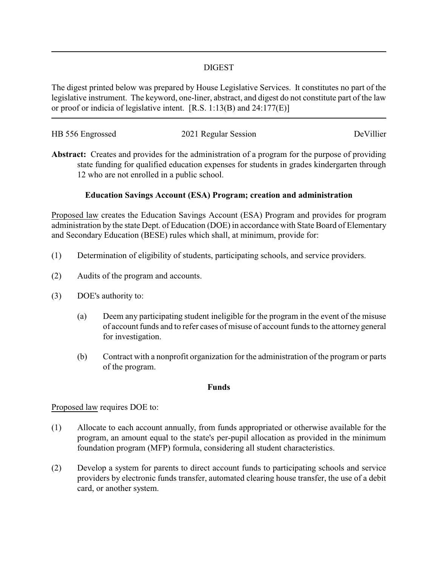### DIGEST

The digest printed below was prepared by House Legislative Services. It constitutes no part of the legislative instrument. The keyword, one-liner, abstract, and digest do not constitute part of the law or proof or indicia of legislative intent. [R.S. 1:13(B) and 24:177(E)]

| HB 556 Engrossed | 2021 Regular Session | DeVillier |
|------------------|----------------------|-----------|
|                  |                      |           |

**Abstract:** Creates and provides for the administration of a program for the purpose of providing state funding for qualified education expenses for students in grades kindergarten through 12 who are not enrolled in a public school.

# **Education Savings Account (ESA) Program; creation and administration**

Proposed law creates the Education Savings Account (ESA) Program and provides for program administration by the state Dept. of Education (DOE) in accordance with State Board of Elementary and Secondary Education (BESE) rules which shall, at minimum, provide for:

- (1) Determination of eligibility of students, participating schools, and service providers.
- (2) Audits of the program and accounts.
- (3) DOE's authority to:
	- (a) Deem any participating student ineligible for the program in the event of the misuse of account funds and to refer cases of misuse of account funds to the attorney general for investigation.
	- (b) Contract with a nonprofit organization for the administration of the program or parts of the program.

#### **Funds**

#### Proposed law requires DOE to:

- (1) Allocate to each account annually, from funds appropriated or otherwise available for the program, an amount equal to the state's per-pupil allocation as provided in the minimum foundation program (MFP) formula, considering all student characteristics.
- (2) Develop a system for parents to direct account funds to participating schools and service providers by electronic funds transfer, automated clearing house transfer, the use of a debit card, or another system.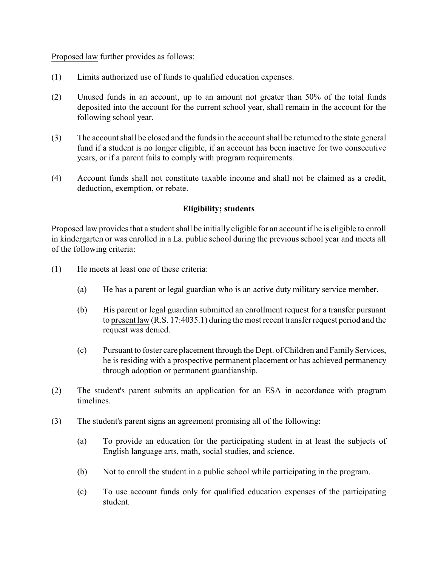Proposed law further provides as follows:

- (1) Limits authorized use of funds to qualified education expenses.
- (2) Unused funds in an account, up to an amount not greater than 50% of the total funds deposited into the account for the current school year, shall remain in the account for the following school year.
- (3) The account shall be closed and the funds in the account shall be returned to the state general fund if a student is no longer eligible, if an account has been inactive for two consecutive years, or if a parent fails to comply with program requirements.
- (4) Account funds shall not constitute taxable income and shall not be claimed as a credit, deduction, exemption, or rebate.

### **Eligibility; students**

Proposed law provides that a student shall be initially eligible for an account if he is eligible to enroll in kindergarten or was enrolled in a La. public school during the previous school year and meets all of the following criteria:

- (1) He meets at least one of these criteria:
	- (a) He has a parent or legal guardian who is an active duty military service member.
	- (b) His parent or legal guardian submitted an enrollment request for a transfer pursuant to present law (R.S. 17:4035.1) during the most recent transfer request period and the request was denied.
	- (c) Pursuant to foster care placement through the Dept. of Children and Family Services, he is residing with a prospective permanent placement or has achieved permanency through adoption or permanent guardianship.
- (2) The student's parent submits an application for an ESA in accordance with program timelines.
- (3) The student's parent signs an agreement promising all of the following:
	- (a) To provide an education for the participating student in at least the subjects of English language arts, math, social studies, and science.
	- (b) Not to enroll the student in a public school while participating in the program.
	- (c) To use account funds only for qualified education expenses of the participating student.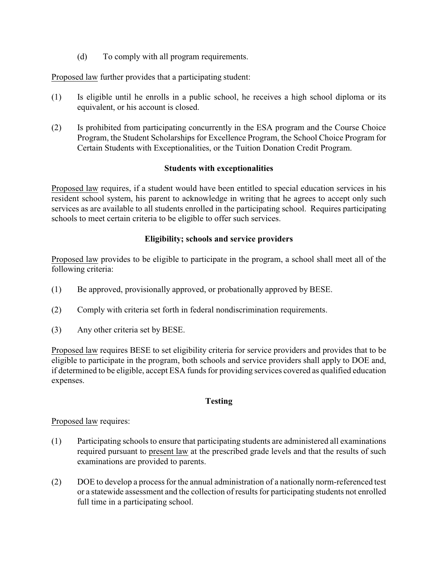(d) To comply with all program requirements.

Proposed law further provides that a participating student:

- (1) Is eligible until he enrolls in a public school, he receives a high school diploma or its equivalent, or his account is closed.
- (2) Is prohibited from participating concurrently in the ESA program and the Course Choice Program, the Student Scholarships for Excellence Program, the School Choice Program for Certain Students with Exceptionalities, or the Tuition Donation Credit Program.

### **Students with exceptionalities**

Proposed law requires, if a student would have been entitled to special education services in his resident school system, his parent to acknowledge in writing that he agrees to accept only such services as are available to all students enrolled in the participating school. Requires participating schools to meet certain criteria to be eligible to offer such services.

# **Eligibility; schools and service providers**

Proposed law provides to be eligible to participate in the program, a school shall meet all of the following criteria:

- (1) Be approved, provisionally approved, or probationally approved by BESE.
- (2) Comply with criteria set forth in federal nondiscrimination requirements.
- (3) Any other criteria set by BESE.

Proposed law requires BESE to set eligibility criteria for service providers and provides that to be eligible to participate in the program, both schools and service providers shall apply to DOE and, if determined to be eligible, accept ESA funds for providing services covered as qualified education expenses.

# **Testing**

# Proposed law requires:

- (1) Participating schools to ensure that participating students are administered all examinations required pursuant to present law at the prescribed grade levels and that the results of such examinations are provided to parents.
- (2) DOE to develop a process for the annual administration of a nationally norm-referenced test or a statewide assessment and the collection of results for participating students not enrolled full time in a participating school.